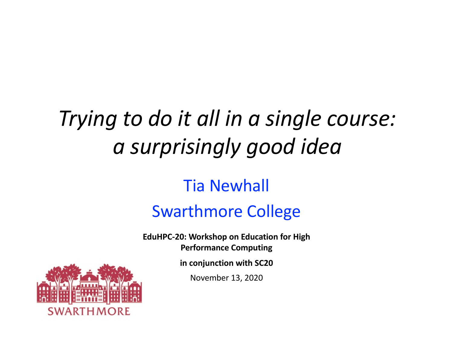## *Trying to do it all in a single course: a surprisingly good idea*

#### Tia Newhall Swarthmore College

**EduHPC-20: Workshop on Education for High Performance Computing**

**in conjunction with SC20**

November 13, 2020

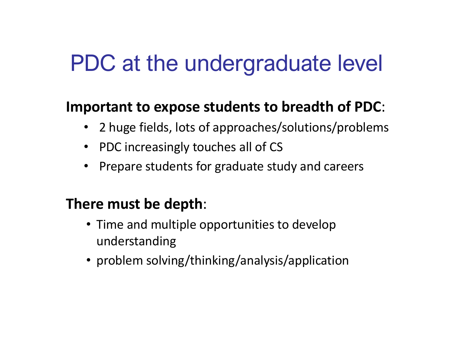#### PDC at the undergraduate level

#### **Important to expose students to breadth of PDC**:

- 2 huge fields, lots of approaches/solutions/problems
- PDC increasingly touches all of CS
- Prepare students for graduate study and careers

#### **There must be depth**:

- Time and multiple opportunities to develop understanding
- problem solving/thinking/analysis/application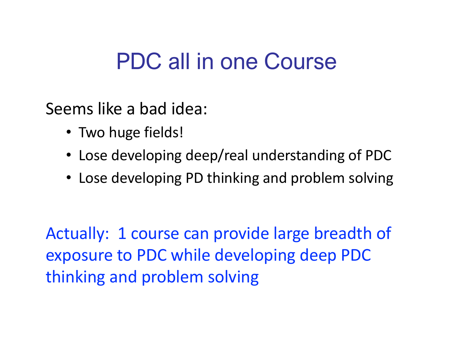#### PDC all in one Course

Seems like a bad idea:

- Two huge fields!
- Lose developing deep/real understanding of PDC
- Lose developing PD thinking and problem solving

Actually: 1 course can provide large breadth of exposure to PDC while developing deep PDC thinking and problem solving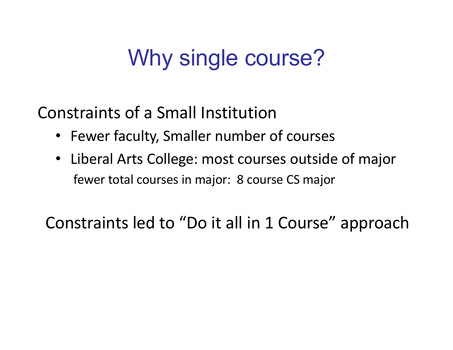## Why single course?

Constraints of a Small Institution

- Fewer faculty, Smaller number of courses
- Liberal Arts College: most courses outside of major fewer total courses in major: 8 course CS major

Constraints led to "Do it all in 1 Course" approach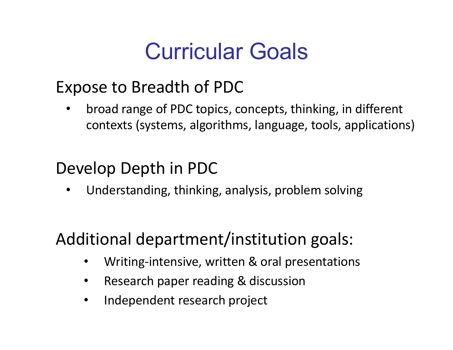### Curricular Goals

#### Expose to Breadth of PDC

• broad range of PDC topics, concepts, thinking, in different contexts (systems, algorithms, language, tools, applications)

#### Develop Depth in PDC

• Understanding, thinking, analysis, problem solving

#### Additional department/institution goals:

- Writing-intensive, written & oral presentations
- Research paper reading & discussion
- Independent research project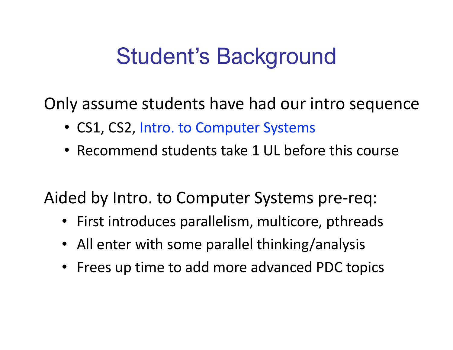### Student's Background

Only assume students have had our intro sequence

- CS1, CS2, Intro. to Computer Systems
- Recommend students take 1 UL before this course

Aided by Intro. to Computer Systems pre-req:

- First introduces parallelism, multicore, pthreads
- All enter with some parallel thinking/analysis
- Frees up time to add more advanced PDC topics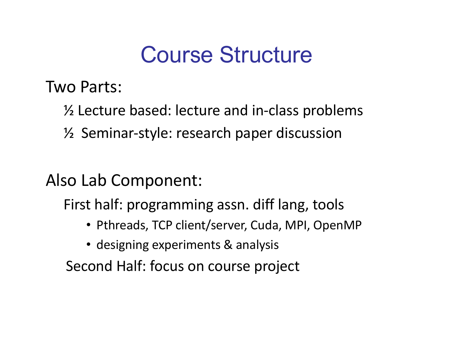### Course Structure

Two Parts:

- ½ Lecture based: lecture and in-class problems
- ½ Seminar-style: research paper discussion

Also Lab Component:

First half: programming assn. diff lang, tools

- Pthreads, TCP client/server, Cuda, MPI, OpenMP
- designing experiments & analysis

Second Half: focus on course project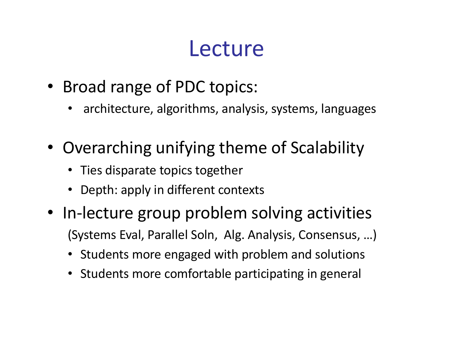### Lecture

- Broad range of PDC topics:
	- architecture, algorithms, analysis, systems, languages
- Overarching unifying theme of Scalability
	- Ties disparate topics together
	- Depth: apply in different contexts
- In-lecture group problem solving activities (Systems Eval, Parallel Soln, Alg. Analysis, Consensus, …)
	- Students more engaged with problem and solutions
	- Students more comfortable participating in general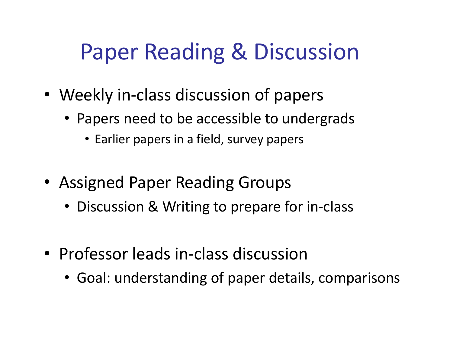## Paper Reading & Discussion

- Weekly in-class discussion of papers
	- Papers need to be accessible to undergrads
		- Earlier papers in a field, survey papers
- Assigned Paper Reading Groups
	- Discussion & Writing to prepare for in-class
- Professor leads in-class discussion
	- Goal: understanding of paper details, comparisons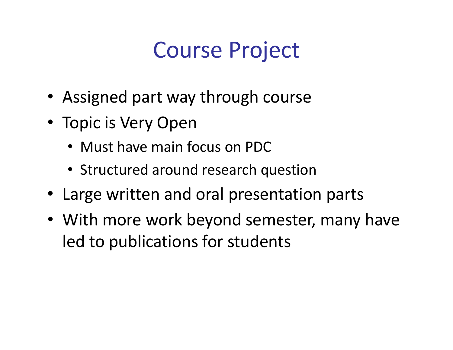## Course Project

- Assigned part way through course
- Topic is Very Open
	- Must have main focus on PDC
	- Structured around research question
- Large written and oral presentation parts
- With more work beyond semester, many have led to publications for students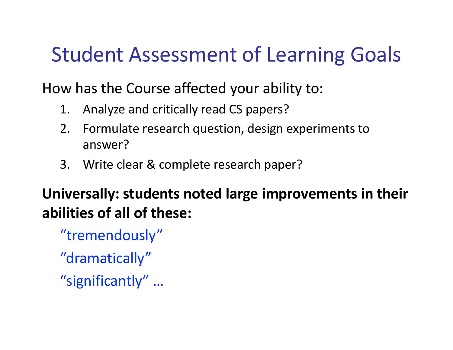#### Student Assessment of Learning Goals

How has the Course affected your ability to:

- 1. Analyze and critically read CS papers?
- 2. Formulate research question, design experiments to answer?
- 3. Write clear & complete research paper?

#### **Universally: students noted large improvements in their abilities of all of these:**

"tremendously"

"dramatically"

"significantly" …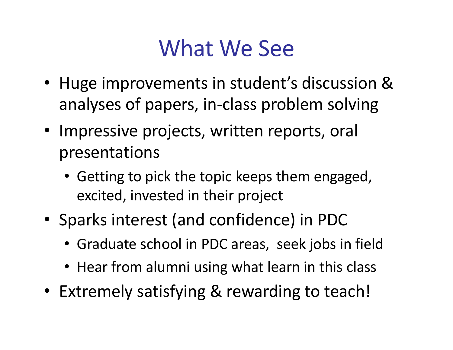## What We See

- Huge improvements in student's discussion & analyses of papers, in-class problem solving
- Impressive projects, written reports, oral presentations
	- Getting to pick the topic keeps them engaged, excited, invested in their project
- Sparks interest (and confidence) in PDC
	- Graduate school in PDC areas, seek jobs in field
	- Hear from alumni using what learn in this class
- Extremely satisfying & rewarding to teach!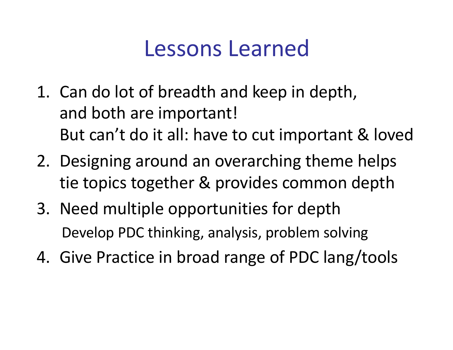### Lessons Learned

- 1. Can do lot of breadth and keep in depth, and both are important! But can't do it all: have to cut important & loved
- 2. Designing around an overarching theme helps tie topics together & provides common depth
- 3. Need multiple opportunities for depth Develop PDC thinking, analysis, problem solving
- 4. Give Practice in broad range of PDC lang/tools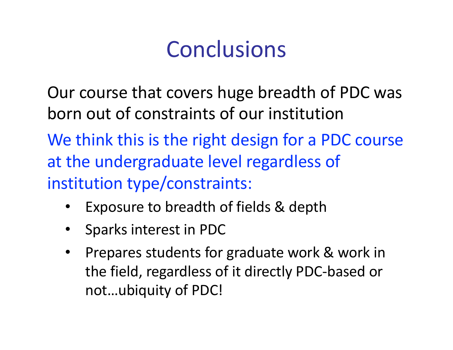## **Conclusions**

Our course that covers huge breadth of PDC was born out of constraints of our institution

We think this is the right design for a PDC course at the undergraduate level regardless of institution type/constraints:

- Exposure to breadth of fields & depth
- Sparks interest in PDC
- Prepares students for graduate work & work in the field, regardless of it directly PDC-based or not…ubiquity of PDC!